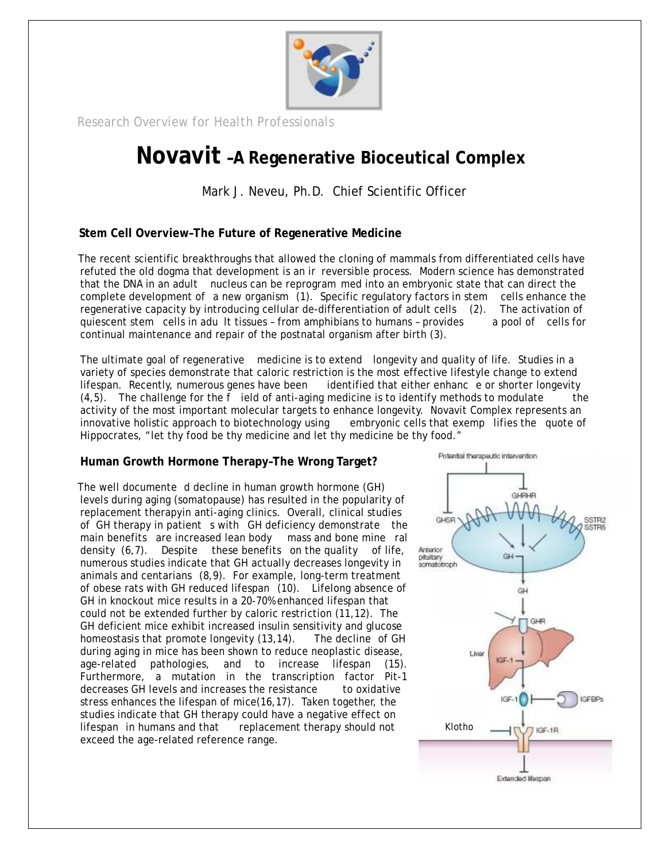

*Research Overview for Health Professionals Research Overview for Health Professionals*

## **Novavit –A Regenerative Bioceutical Complex Novavit –A Regenerative Bioceutical Complex**

Mark J. Neveu, Ph.D. Chief Scientific Officer Mark J. Neveu, Ph.D. Chief Scientific Officer

**Stem Cell Overview–The Future of Regenerative Medicine**

The recent scientific breakthroughs that allowed the cloning of mammals from differentiated cells have refuted the old dogma that development is an ir reversible process. Modern science has demonstrated that the DNA in an adult nucleus can be reprogram med into an embryonic state that can direct the complete development of a new organism (1). Specific regulatory factors in stem cells enhance the regenerative capacity by introducing cellular de-differentiation of adult cells (2). The activation of quiescent stem cells in adu lt tissues – from amphibians to humans – provides a pool of cells for continual maintenance and repair of the postnatal organism after birth (3).

The ultimate goal of regenerative medicine is to extend longevity and quality of life. Studies in a variety of species demonstrate that caloric restriction is the most effective lifestyle change to extend lifespan. Recently, numerous genes have been identified that either enhanc e or shorter longevity  $(4,5)$ . The challenge for the f ield of anti-aging medicine is to identify methods to modulate the activity of the most important molecular targets to enhance longevity. Novavit Complex represents an innovative holistic approach to biotechnology using embryonic cells that exemp lifies the quote of Hippocrates, "let thy food be thy medicine and let thy medicine be thy food."

**Human Growth Hormone Therapy–The Wrong Target?**

The well documente d decline in human growth hormone (GH) levels during aging (somatopause) has resulted in the popularity of replacement therapyin anti-aging clinics. Overall, clinical studies of GH therapy in patient s with GH deficiency demonstrate the main benefits are increased lean body mass and bone mine ral density (6,7). Despite these benefits on the quality of life, numerous studies indicate that GH actually decreases longevity in animals and centarians (8,9). For example, long-term treatment of obese rats with GH reduced lifespan (10). Lifelong absence of GH in knockout mice results in a 20-70% enhanced lifespan that could not be extended further by caloric restriction (11,12). The GH deficient mice exhibit increased insulin sensitivity and glucose homeostasis that promote longevity (13,14). The decline of GH during aging in mice has been shown to reduce neoplastic disease, age-related pathologies, and to increase lifespan (15). Furthermore, a mutation in the transcription factor Pit-1 decreases GH levels and increases the resistance to oxidative stress enhances the lifespan of mice(16,17). Taken together, the studies indicate that GH therapy could have a negative effect on lifespan in humans and that replacement therapy should not exceed the age-related reference range.

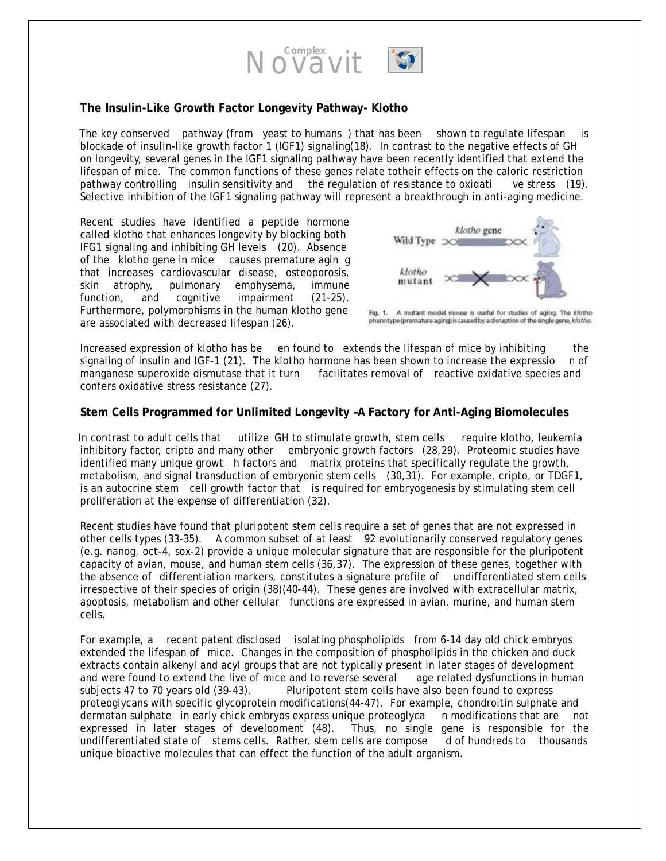

#### **The Insulin-Like Growth Factor Longevity Pathway- Klotho**

The key conserved pathway (from yeast to humans ) that has been shown to regulate lifespan is blockade of insulin-like growth factor 1 (IGF1) signaling(18). In contrast to the negative effects of GH on longevity, several genes in the IGF1 signaling pathway have been recently identified that extend the lifespan of mice. The common functions of these genes relate totheir effects on the caloric restriction pathway controlling insulin sensitivity and the regulation of resistance to oxidati ve stress (19). Selective inhibition of the IGF1 signaling pathway will represent a breakthrough in anti-aging medicine.

Recent studies have identified a peptide hormone called klotho that enhances longevity by blocking both IFG1 signaling and inhibiting GH levels (20). Absence of the klotho gene in mice causes premature agin g that increases cardiovascular disease, osteoporosis, skin atrophy, pulmonary emphysema, immune function, and cognitive impairment (21-25). Furthermore, polymorphisms in the human klotho gene are associated with decreased lifespan (26).



Fig. 1. A mutant model mouse is useful for studies of aging. The klotho phenotype (premature aging) is caused by a disruption of the single gene, klotho.

Increased expression of klotho has be en found to extends the lifespan of mice by inhibiting the signaling of insulin and IGF-1 (21). The klotho hormone has been shown to increase the expressio n of manganese superoxide dismutase that it turn facilitates removal of reactive oxidative species and confers oxidative stress resistance (27).

**Stem Cells Programmed for Unlimited Longevity –A Factory for Anti-Aging Biomolecules**

In contrast to adult cells that utilize GH to stimulate growth, stem cells require klotho, leukemia inhibitory factor, cripto and many other embryonic growth factors (28,29). Proteomic studies have identified many unique growt h factors and matrix proteins that specifically regulate the growth, metabolism, and signal transduction of embryonic stem cells (30,31). For example, cripto, or TDGF1, is an autocrine stem cell growth factor that is required for embryogenesis by stimulating stem cell proliferation at the expense of differentiation (32).

Recent studies have found that pluripotent stem cells require a set of genes that are not expressed in other cells types (33-35). A common subset of at least 92 evolutionarily conserved regulatory genes (e.g. nanog, oct-4, sox-2) provide a unique molecular signature that are responsible for the pluripotent capacity of avian, mouse, and human stem cells (36,37). The expression of these genes, together with the absence of differentiation markers, constitutes a signature profile of undifferentiated stem cells irrespective of their species of origin (38)(40-44). These genes are involved with extracellular matrix, apoptosis, metabolism and other cellular functions are expressed in avian, murine, and human stem cells.

For example, a recent patent disclosed isolating phospholipids from 6-14 day old chick embryos extended the lifespan of mice. Changes in the composition of phospholipids in the chicken and duck extracts contain alkenyl and acyl groups that are not typically present in later stages of development and were found to extend the live of mice and to reverse several age related dysfunctions in human subjects 47 to 70 years old (39-43). Pluripotent stem cells have also been found to express proteoglycans with specific glycoprotein modifications(44-47). For example, chondroitin sulphate and dermatan sulphate in early chick embryos express unique proteoglyca n modifications that are not expressed in later stages of development (48). Thus, no single gene is responsible for the undifferentiated state of stems cells. Rather, stem cells are compose d of hundreds to thousands unique bioactive molecules that can effect the function of the adult organism.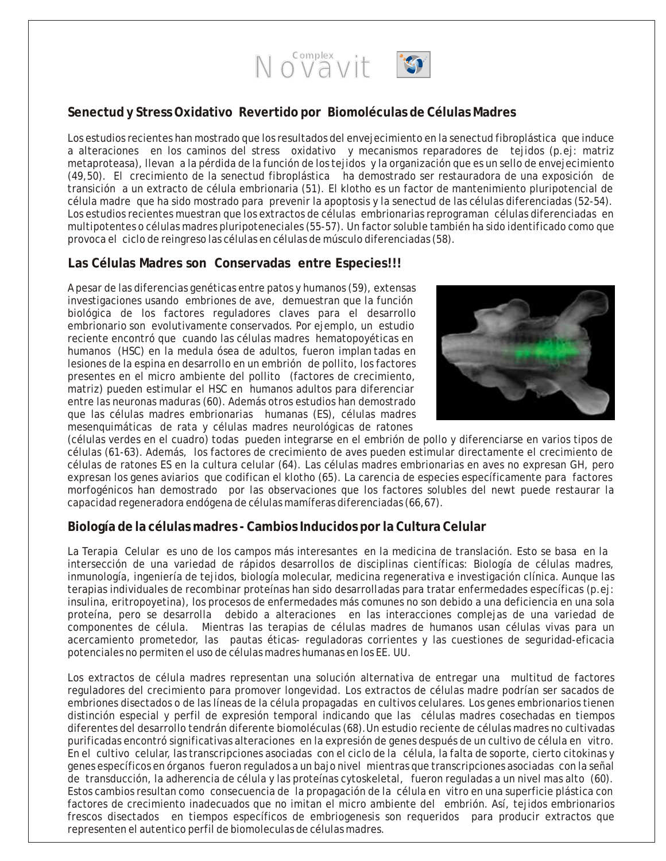

### **Senectud y Stress Oxidativo Revertido por Biomoléculas de Células Madres**

Los estudios recientes han mostrado que los resultados del envejecimiento en la senectud fibroplástica que induce a alteraciones en los caminos del stress oxidativo y mecanismos reparadores de tejidos (p.ej: matriz metaproteasa), llevan a la pérdida de la función de los tejidos y la organización que es un sello de envejecimiento (49,50). El crecimiento de la senectud fibroplástica ha demostrado ser restauradora de una exposición de transición a un extracto de célula embrionaria (51). El klotho es un factor de mantenimiento pluripotencial de célula madre que ha sido mostrado para prevenir la apoptosis y la senectud de las células diferenciadas (52-54). Los estudios recientes muestran que los extractos de células embrionarias reprograman células diferenciadas en multipotentes o células madres pluripoteneciales (55-57). Un factor soluble también ha sido identificado como que provoca el ciclo de reingreso las células en células de músculo diferenciadas (58).

#### **Las Células Madres son Conservadas entre Especies!!!**

A pesar de las diferencias genéticas entre patos y humanos (59), extensas investigaciones usando embriones de ave, demuestran que la función biológica de los factores reguladores claves para el desarrollo embrionario son evolutivamente conservados. Por ejemplo, un estudio reciente encontró que cuando las células madres hematopoyéticas en humanos (HSC) en la medula ósea de adultos, fueron implan tadas en lesiones de la espina en desarrollo en un embrión de pollito, los factores presentes en el micro ambiente del pollito (factores de crecimiento, matriz) pueden estimular el HSC en humanos adultos para diferenciar entre las neuronas maduras (60). Además otros estudios han demostrado que las células madres embrionarias humanas (ES), células madres mesenquimáticas de rata y células madres neurológicas de ratones



(células verdes en el cuadro) todas pueden integrarse en el embrión de pollo y diferenciarse en varios tipos de células (61-63). Además, los factores de crecimiento de aves pueden estimular directamente el crecimiento de células de ratones ES en la cultura celular (64). Las células madres embrionarias en aves no expresan GH, pero expresan los genes aviarios que codifican el klotho (65). La carencia de especies específicamente para factores morfogénicos han demostrado por las observaciones que los factores solubles del newt puede restaurar la capacidad regeneradora endógena de células mamíferas diferenciadas (66,67).

#### **Biología de la células madres - Cambios Inducidos por la Cultura Celular**

La Terapia Celular es uno de los campos más interesantes en la medicina de translación. Esto se basa en la intersección de una variedad de rápidos desarrollos de disciplinas científicas: Biología de células madres, inmunología, ingeniería de tejidos, biología molecular, medicina regenerativa e investigación clínica. Aunque las terapias individuales de recombinar proteínas han sido desarrolladas para tratar enfermedades específicas (p.ej: insulina, eritropoyetina), los procesos de enfermedades más comunes no son debido a una deficiencia en una sola proteína, pero se desarrolla debido a alteraciones en las interacciones complejas de una variedad de componentes de célula. Mientras las terapias de células madres de humanos usan células vivas para un acercamiento prometedor, las pautas éticas- reguladoras corrientes y las cuestiones de seguridad-eficacia potenciales no permiten el uso de células madres humanas en los EE. UU.

Los extractos de célula madres representan una solución alternativa de entregar una multitud de factores reguladores del crecimiento para promover longevidad. Los extractos de células madre podrían ser sacados de embriones disectados o de las líneas de la célula propagadas en cultivos celulares. Los genes embrionarios tienen distinción especial y perfil de expresión temporal indicando que las células madres cosechadas en tiempos diferentes del desarrollo tendrán diferente biomoléculas (68).Un estudio reciente de células madres no cultivadas purificadas encontró significativas alteraciones en la expresión de genes después de un cultivo de célula en vitro. En el cultivo celular, las transcripciones asociadas con el ciclo de la célula, la falta de soporte, cierto citokinas y genes específicos en órganos fueron regulados a un bajo nivel mientras que transcripciones asociadas con la señal de transducción, la adherencia de célula y las proteínas cytoskeletal, fueron reguladas a un nivel mas alto (60). Estos cambios resultan como consecuencia de la propagación de la célula en vitro en una superficie plástica con factores de crecimiento inadecuados que no imitan el micro ambiente del embrión. Así, tejidos embrionarios frescos disectados en tiempos específicos de embriogenesis son requeridos para producir extractos que representen el autentico perfil de biomoleculas de células madres.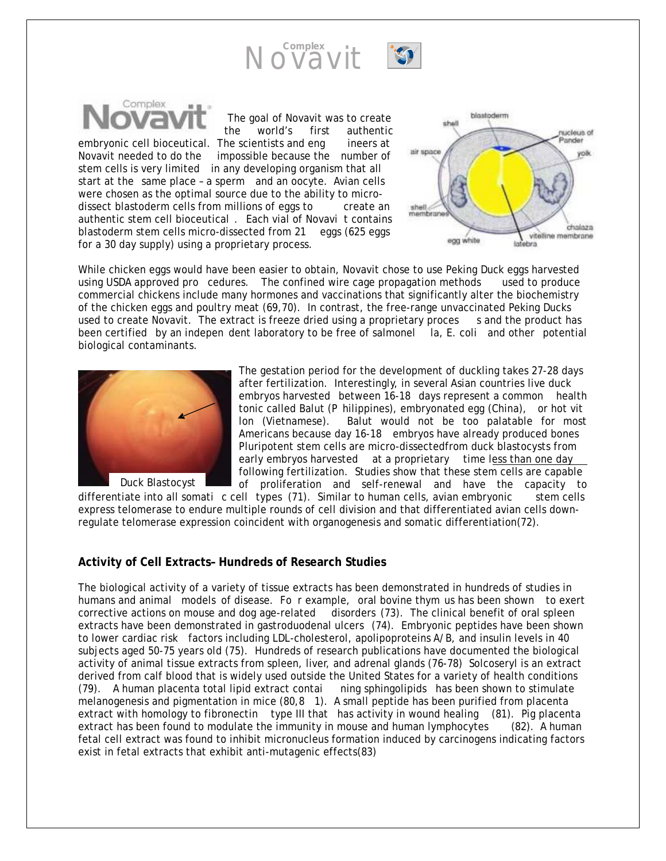



The goal of Novavit was to create the world's first authentic embryonic cell bioceutical. The scientists and eng ineers at Novavit needed to do the impossible because the number of stem cells is very limited in any developing organism that all start at the same place – a sperm and an oocyte. Avian cells were chosen as the optimal source due to the ability to microdissect blastoderm cells from millions of eggs to create an authentic stem cell bioceutical . Each vial of Novavi t contains blastoderm stem cells micro-dissected from 21 eggs (625 eggs for a 30 day supply) using a proprietary process.



While chicken eggs would have been easier to obtain, Novavit chose to use Peking Duck eggs harvested using USDA approved pro cedures. The confined wire cage propagation methods used to produce commercial chickens include many hormones and vaccinations that significantly alter the biochemistry of the chicken eggs and poultry meat (69,70). In contrast, the free-range unvaccinated Peking Ducks used to create Novavit. The extract is freeze dried using a proprietary proces s and the product has been certified by an indepen dent laboratory to be free of salmonel la, E. coli and other potential biological contaminants.



The gestation period for the development of duckling takes 27-28 days after fertilization. Interestingly, in several Asian countries live duck embryos harvested between 16-18 days represent a common health tonic called Balut (P hilippines), embryonated egg (China), or hot vit lon (Vietnamese). Balut would not be too palatable for most Americans because day 16-18 embryos have already produced bones Pluripotent stem cells are micro-dissectedfrom duck blastocysts from early embryos harvested at a proprietary time less than one day following fertilization. Studies show that these stem cells are capable of proliferation and self-renewal and have the capacity to

differentiate into all somati c cell types (71). Similar to human cells, avian embryonic stem cells express telomerase to endure multiple rounds of cell division and that differentiated avian cells downregulate telomerase expression coincident with organogenesis and somatic differentiation(72).

#### **Activity of Cell Extracts– Hundreds of Research Studies**

The biological activity of a variety of tissue extracts has been demonstrated in hundreds of studies in humans and animal models of disease. Fo r example, oral bovine thym us has been shown to exert corrective actions on mouse and dog age-related disorders (73). The clinical benefit of oral spleen extracts have been demonstrated in gastroduodenal ulcers (74). Embryonic peptides have been shown to lower cardiac risk factors including LDL-cholesterol, apolipoproteins A/B, and insulin levels in 40 subjects aged 50-75 years old (75). Hundreds of research publications have documented the biological activity of animal tissue extracts from spleen, liver, and adrenal glands (76-78) Solcoseryl is an extract derived from calf blood that is widely used outside the United States for a variety of health conditions (79). A human placenta total lipid extract contai ning sphingolipids has been shown to stimulate melanogenesis and pigmentation in mice (80,8 1). A small peptide has been purified from placenta extract with homology to fibronectin type III that has activity in wound healing (81). Pig placenta extract has been found to modulate the immunity in mouse and human lymphocytes (82). A human fetal cell extract was found to inhibit micronucleus formation induced by carcinogens indicating factors exist in fetal extracts that exhibit anti-mutagenic effects(83)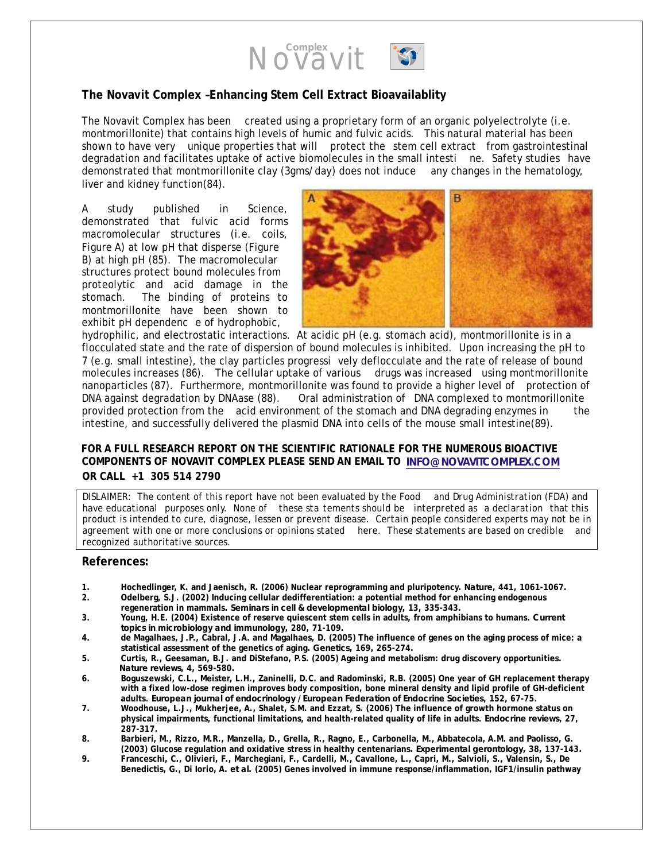

#### **The Novavit Complex –Enhancing Stem Cell Extract Bioavailablity**

The Novavit Complex has been created using a proprietary form of an organic polyelectrolyte (i.e. montmorillonite) that contains high levels of humic and fulvic acids. This natural material has been shown to have very unique properties that will protect the stem cell extract from gastrointestinal degradation and facilitates uptake of active biomolecules in the small intesti ne. Safety studies have demonstrated that montmorillonite clay (3gms/day) does not induce any changes in the hematology, liver and kidney function(84).

A study published in *Science*, demonstrated that fulvic acid forms macromolecular structures (i.e. coils, Figure A) at low pH that disperse (Figure B) at high pH (85). The macromolecular structures protect bound molecules from proteolytic and acid damage in the stomach. The binding of proteins to montmorillonite have been shown to exhibit pH dependenc e of hydrophobic,



hydrophilic, and electrostatic interactions. At acidic pH (e.g. stomach acid), montmorillonite is in a flocculated state and the rate of dispersion of bound molecules is inhibited. Upon increasing the pH to 7 (e.g. small intestine), the clay particles progressi vely deflocculate and the rate of release of bound molecules increases (86). The cellular uptake of various drugs was increased using montmorillonite nanoparticles (87). Furthermore, montmorillonite was found to provide a higher level of protection of DNA against degradation by DNAase (88). Oral administration of DNA complexed to montmorillonite provided protection from the acid environment of the stomach and DNA degrading enzymes in the intestine, and successfully delivered the plasmid DNA into cells of the mouse small intestine(89).

#### **FOR A FULL RESEARCH REPORT ON THE SCIENTIFIC RATIONALE FOR THE NUMEROUS BIOACTIVE COMPONENTS OF NOVAVIT COMPLEX PLEASE SEND AN EMAIL TO INFO@MEDI-SCIENCE.COM INFO@NOVAVITCOMPLEX.COMOR CALL +1 305 514 2790**

*DISLAIMER: The content of this report have not been evaluated by the Food and Drug Administration (FDA) and have educational purposes only. None of these sta tements should be interpreted as a declaration that this product is intended to cure, diagnose, lessen or prevent disease. Certain people considered experts may not be in agreement with one or more conclusions or opinions stated here. These statements are based on credible and recognized authoritative sources.*

#### **References:**

- **1. Hochedlinger, K. and Jaenisch, R. (2006) Nuclear reprogramming and pluripotency.** *Nature***, 441, 1061-1067.**
- **2. Odelberg, S.J. (2002) Inducing cellular dedifferentiation: a potential method for enhancing endogenous regeneration in mammals.** *Seminars in cell & developmental biology***, 13, 335-343.**
- **3. Young, H.E. (2004) Existence of reserve quiescent stem cells in adults, from amphibians to humans.** *Current topics in microbiology and immunology***, 280, 71-109.**
- **4. de Magalhaes, J.P., Cabral, J.A. and Magalhaes, D. (2005) The influence of genes on the aging process of mice: a statistical assessment of the genetics of aging.** *Genetics***, 169, 265-274.**
- **5. Curtis, R., Geesaman, B.J. and DiStefano, P.S. (2005) Ageing and metabolism: drug discovery opportunities.**  *Nature reviews***, 4, 569-580.**
- **6. Boguszewski, C.L., Meister, L.H., Zaninelli, D.C. and Radominski, R.B. (2005) One year of GH replacement therapy with a fixed low-dose regimen improves body composition, bone mineral density and lipid profile of GH-deficient adults.** *European journal of endocrinology / European Federation of Endocrine Societies***, 152, 67-75.**
- **7. Woodhouse, L.J., Mukherjee, A., Shalet, S.M. and Ezzat, S. (2006) The influence of growth hormone status on physical impairments, functional limitations, and health-related quality of life in adults.** *Endocrine reviews***, 27, 287-317.**
- **8. Barbieri, M., Rizzo, M.R., Manzella, D., Grella, R., Ragno, E., Carbonella, M., Abbatecola, A.M. and Paolisso, G. (2003) Glucose regulation and oxidative stress in healthy centenarians.** *Experimental gerontology***, 38, 137-143.**
- **9. Franceschi, C., Olivieri, F., Marchegiani, F., Cardelli, M., Cavallone, L., Capri, M., Salvioli, S., Valensin, S., De Benedictis, G., Di Iorio, A.** *et al.* **(2005) Genes involved in immune response/inflammation, IGF1/insulin pathway**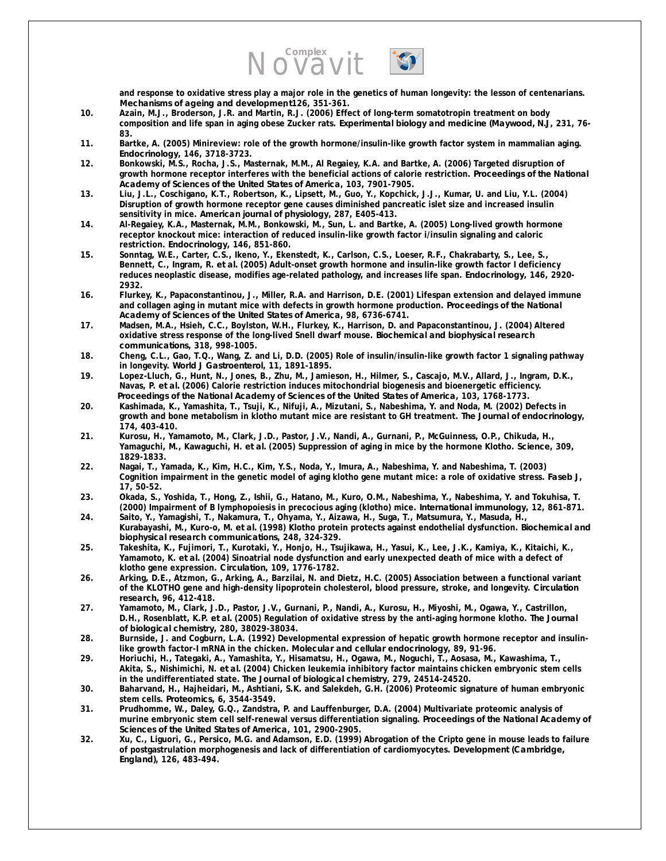# Novavit



- **10. Azain, M.J., Broderson, J.R. and Martin, R.J. (2006) Effect of long-term somatotropin treatment on body composition and life span in aging obese Zucker rats.** *Experimental biology and medicine (Maywood, N.J***, 231, 76- 83.**
- **11. Bartke, A. (2005) Minireview: role of the growth hormone/insulin-like growth factor system in mammalian aging.**  *Endocrinology***, 146, 3718-3723.**
- **12. Bonkowski, M.S., Rocha, J.S., Masternak, M.M., Al Regaiey, K.A. and Bartke, A. (2006) Targeted disruption of growth hormone receptor interferes with the beneficial actions of calorie restriction.** *Proceedings of the National Academy of Sciences of the United States of America***, 103, 7901-7905.**
- **13. Liu, J.L., Coschigano, K.T., Robertson, K., Lipsett, M., Guo, Y., Kopchick, J.J., Kumar, U. and Liu, Y.L. (2004) Disruption of growth hormone receptor gene causes diminished pancreatic islet size and increased insulin sensitivity in mice.** *American journal of physiology***, 287, E405-413.**
- **14. Al-Regaiey, K.A., Masternak, M.M., Bonkowski, M., Sun, L. and Bartke, A. (2005) Long-lived growth hormone receptor knockout mice: interaction of reduced insulin-like growth factor i/insulin signaling and caloric restriction.** *Endocrinology***, 146, 851-860.**
- **15. Sonntag, W.E., Carter, C.S., Ikeno, Y., Ekenstedt, K., Carlson, C.S., Loeser, R.F., Chakrabarty, S., Lee, S., Bennett, C., Ingram, R.** *et al.* **(2005) Adult-onset growth hormone and insulin-like growth factor I deficiency reduces neoplastic disease, modifies age-related pathology, and increases life span.** *Endocrinology***, 146, 2920- 2932.**
- **16. Flurkey, K., Papaconstantinou, J., Miller, R.A. and Harrison, D.E. (2001) Lifespan extension and delayed immune and collagen aging in mutant mice with defects in growth hormone production.** *Proceedings of the National Academy of Sciences of the United States of America***, 98, 6736-6741.**
- **17. Madsen, M.A., Hsieh, C.C., Boylston, W.H., Flurkey, K., Harrison, D. and Papaconstantinou, J. (2004) Altered oxidative stress response of the long-lived Snell dwarf mouse.** *Biochemical and biophysical research communications***, 318, 998-1005.**
- **18. Cheng, C.L., Gao, T.Q., Wang, Z. and Li, D.D. (2005) Role of insulin/insulin-like growth factor 1 signaling pathway in longevity.** *World J Gastroenterol***, 11, 1891-1895.**
- **19. Lopez-Lluch, G., Hunt, N., Jones, B., Zhu, M., Jamieson, H., Hilmer, S., Cascajo, M.V., Allard, J., Ingram, D.K., Navas, P.** *et al.* **(2006) Calorie restriction induces mitochondrial biogenesis and bioenergetic efficiency.**  *Proceedings of the National Academy of Sciences of the United States of America***, 103, 1768-1773.**
- **20. Kashimada, K., Yamashita, T., Tsuji, K., Nifuji, A., Mizutani, S., Nabeshima, Y. and Noda, M. (2002) Defects in growth and bone metabolism in klotho mutant mice are resistant to GH treatment.** *The Journal of endocrinology***, 174, 403-410.**
- **21. Kurosu, H., Yamamoto, M., Clark, J.D., Pastor, J.V., Nandi, A., Gurnani, P., McGuinness, O.P., Chikuda, H., Yamaguchi, M., Kawaguchi, H.** *et al.* **(2005) Suppression of aging in mice by the hormone Klotho.** *Science***, 309, 1829-1833.**
- **22. Nagai, T., Yamada, K., Kim, H.C., Kim, Y.S., Noda, Y., Imura, A., Nabeshima, Y. and Nabeshima, T. (2003) Cognition impairment in the genetic model of aging klotho gene mutant mice: a role of oxidative stress.** *Faseb J***, 17, 50-52.**
- **23. Okada, S., Yoshida, T., Hong, Z., Ishii, G., Hatano, M., Kuro, O.M., Nabeshima, Y., Nabeshima, Y. and Tokuhisa, T. (2000) Impairment of B lymphopoiesis in precocious aging (klotho) mice.** *International immunology***, 12, 861-871.**
- **24. Saito, Y., Yamagishi, T., Nakamura, T., Ohyama, Y., Aizawa, H., Suga, T., Matsumura, Y., Masuda, H., Kurabayashi, M., Kuro-o, M.** *et al.* **(1998) Klotho protein protects against endothelial dysfunction.** *Biochemical and biophysical research communications***, 248, 324-329.**
- **25. Takeshita, K., Fujimori, T., Kurotaki, Y., Honjo, H., Tsujikawa, H., Yasui, K., Lee, J.K., Kamiya, K., Kitaichi, K., Yamamoto, K.** *et al.* **(2004) Sinoatrial node dysfunction and early unexpected death of mice with a defect of klotho gene expression.** *Circulation***, 109, 1776-1782.**
- **26. Arking, D.E., Atzmon, G., Arking, A., Barzilai, N. and Dietz, H.C. (2005) Association between a functional variant of the KLOTHO gene and high-density lipoprotein cholesterol, blood pressure, stroke, and longevity.** *Circulation research***, 96, 412-418.**
- **27. Yamamoto, M., Clark, J.D., Pastor, J.V., Gurnani, P., Nandi, A., Kurosu, H., Miyoshi, M., Ogawa, Y., Castrillon, D.H., Rosenblatt, K.P.** *et al.* **(2005) Regulation of oxidative stress by the anti-aging hormone klotho.** *The Journal of biological chemistry***, 280, 38029-38034.**
- **28. Burnside, J. and Cogburn, L.A. (1992) Developmental expression of hepatic growth hormone receptor and insulinlike growth factor-I mRNA in the chicken.** *Molecular and cellular endocrinology***, 89, 91-96.**
- **29. Horiuchi, H., Tategaki, A., Yamashita, Y., Hisamatsu, H., Ogawa, M., Noguchi, T., Aosasa, M., Kawashima, T., Akita, S., Nishimichi, N.** *et al.* **(2004) Chicken leukemia inhibitory factor maintains chicken embryonic stem cells in the undifferentiated state.** *The Journal of biological chemistry***, 279, 24514-24520.**
- **30. Baharvand, H., Hajheidari, M., Ashtiani, S.K. and Salekdeh, G.H. (2006) Proteomic signature of human embryonic stem cells.** *Proteomics***, 6, 3544-3549.**
- **31. Prudhomme, W., Daley, G.Q., Zandstra, P. and Lauffenburger, D.A. (2004) Multivariate proteomic analysis of murine embryonic stem cell self-renewal versus differentiation signaling.** *Proceedings of the National Academy of Sciences of the United States of America***, 101, 2900-2905.**
- **32. Xu, C., Liguori, G., Persico, M.G. and Adamson, E.D. (1999) Abrogation of the Cripto gene in mouse leads to failure of postgastrulation morphogenesis and lack of differentiation of cardiomyocytes.** *Development (Cambridge, England)***, 126, 483-494.**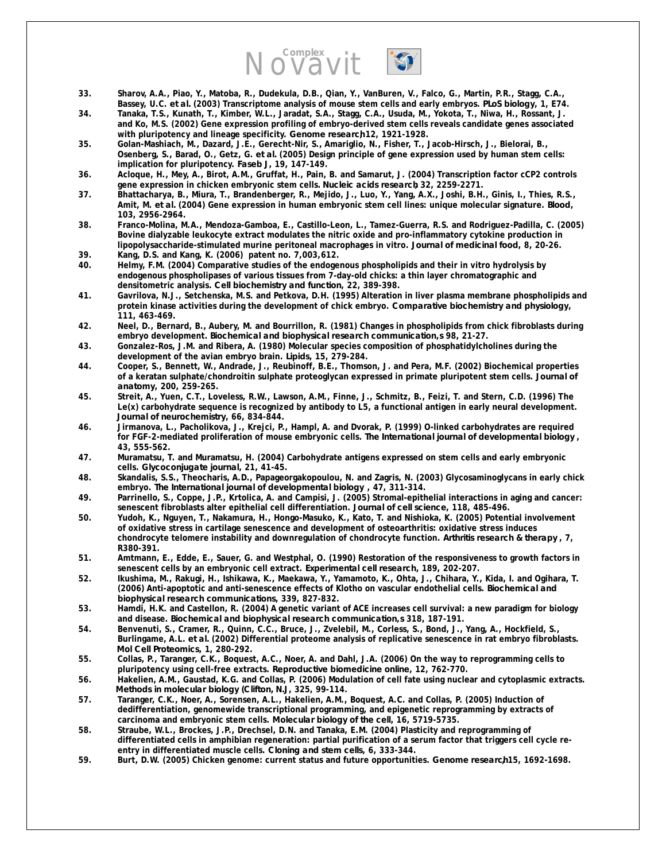

- **33. Sharov, A.A., Piao, Y., Matoba, R., Dudekula, D.B., Qian, Y., VanBuren, V., Falco, G., Martin, P.R., Stagg, C.A., Bassey, U.C.** *et al.* **(2003) Transcriptome analysis of mouse stem cells and early embryos.** *PLoS biology***, 1, E74.**
- **34. Tanaka, T.S., Kunath, T., Kimber, W.L., Jaradat, S.A., Stagg, C.A., Usuda, M., Yokota, T., Niwa, H., Rossant, J. and Ko, M.S. (2002) Gene expression profiling of embryo-derived stem cells reveals candidate genes associated**  with pluripotency and lineage specificity. Genome research<sup>12</sup>, 1921-1928.
- **35. Golan-Mashiach, M., Dazard, J.E., Gerecht-Nir, S., Amariglio, N., Fisher, T., Jacob-Hirsch, J., Bielorai, B., Osenberg, S., Barad, O., Getz, G.** *et al.* **(2005) Design principle of gene expression used by human stem cells: implication for pluripotency.** *Faseb J***, 19, 147-149.**
- **36. Acloque, H., Mey, A., Birot, A.M., Gruffat, H., Pain, B. and Samarut, J. (2004) Transcription factor cCP2 controls gene expression in chicken embryonic stem cells.** *Nucleic acids research***, 32, 2259-2271.**
- **37. Bhattacharya, B., Miura, T., Brandenberger, R., Mejido, J., Luo, Y., Yang, A.X., Joshi, B.H., Ginis, I., Thies, R.S., Amit, M.** *et al.* **(2004) Gene expression in human embryonic stem cell lines: unique molecular signature.** *Blood***, 103, 2956-2964.**
- **38. Franco-Molina, M.A., Mendoza-Gamboa, E., Castillo-Leon, L., Tamez-Guerra, R.S. and Rodriguez-Padilla, C. (2005) Bovine dialyzable leukocyte extract modulates the nitric oxide and pro-inflammatory cytokine production in lipopolysaccharide-stimulated murine peritoneal macrophages in vitro.** *Journal of medicinal food***, 8, 20-26.**
- **39. Kang, D.S. and Kang, K. (2006) patent no. 7,003,612.**
- **40. Helmy, F.M. (2004) Comparative studies of the endogenous phospholipids and their in vitro hydrolysis by endogenous phospholipases of various tissues from 7-day-old chicks: a thin layer chromatographic and densitometric analysis.** *Cell biochemistry and function***, 22, 389-398.**
- **41. Gavrilova, N.J., Setchenska, M.S. and Petkova, D.H. (1995) Alteration in liver plasma membrane phospholipids and protein kinase activities during the development of chick embryo.** *Comparative biochemistry and physiology***, 111, 463-469.**
- **42. Neel, D., Bernard, B., Aubery, M. and Bourrillon, R. (1981) Changes in phospholipids from chick fibroblasts during embryo development.** *Biochemical and biophysical research communication***,***s* **98, 21-27.**
- **43. Gonzalez-Ros, J.M. and Ribera, A. (1980) Molecular species composition of phosphatidylcholines during the development of the avian embryo brain.** *Lipids***, 15, 279-284.**
- **44. Cooper, S., Bennett, W., Andrade, J., Reubinoff, B.E., Thomson, J. and Pera, M.F. (2002) Biochemical properties of a keratan sulphate/chondroitin sulphate proteoglycan expressed in primate pluripotent stem cells.** *Journal of anatomy***, 200, 259-265.**
- **45. Streit, A., Yuen, C.T., Loveless, R.W., Lawson, A.M., Finne, J., Schmitz, B., Feizi, T. and Stern, C.D. (1996) The Le(x) carbohydrate sequence is recognized by antibody to L5, a functional antigen in early neural development.**  *Journal of neurochemistry***, 66, 834-844.**
- **46. Jirmanova, L., Pacholikova, J., Krejci, P., Hampl, A. and Dvorak, P. (1999) O-linked carbohydrates are required for FGF-2-mediated proliferation of mouse embryonic cells.** *The International journal of developmental biology* **, 43, 555-562.**
- **47. Muramatsu, T. and Muramatsu, H. (2004) Carbohydrate antigens expressed on stem cells and early embryonic cells.** *Glycoconjugate journal***, 21, 41-45.**
- **48. Skandalis, S.S., Theocharis, A.D., Papageorgakopoulou, N. and Zagris, N. (2003) Glycosaminoglycans in early chick embryo.** *The International journal of developmental biology* **, 47, 311-314.**
- **49. Parrinello, S., Coppe, J.P., Krtolica, A. and Campisi, J. (2005) Stromal-epithelial interactions in aging and cancer: senescent fibroblasts alter epithelial cell differentiation.** *Journal of cell science***, 118, 485-496.**
- **50. Yudoh, K., Nguyen, T., Nakamura, H., Hongo-Masuko, K., Kato, T. and Nishioka, K. (2005) Potential involvement of oxidative stress in cartilage senescence and development of osteoarthritis: oxidative stress induces chondrocyte telomere instability and downregulation of chondrocyte function.** *Arthritis research & therapy* **, 7, R380-391.**
- **51. Amtmann, E., Edde, E., Sauer, G. and Westphal, O. (1990) Restoration of the responsiveness to growth factors in senescent cells by an embryonic cell extract.** *Experimental cell research***, 189, 202-207.**
- **52. Ikushima, M., Rakugi, H., Ishikawa, K., Maekawa, Y., Yamamoto, K., Ohta, J., Chihara, Y., Kida, I. and Ogihara, T. (2006) Anti-apoptotic and anti-senescence effects of Klotho on vascular endothelial cells.** *Biochemical and biophysical research communications***, 339, 827-832.**
- **53. Hamdi, H.K. and Castellon, R. (2004) A genetic variant of ACE increases cell survival: a new paradigm for biology and disease.** *Biochemical and biophysical research communication***,***s* **318, 187-191.**
- **54. Benvenuti, S., Cramer, R., Quinn, C.C., Bruce, J., Zvelebil, M., Corless, S., Bond, J., Yang, A., Hockfield, S., Burlingame, A.L.** *et al.* **(2002) Differential proteome analysis of replicative senescence in rat embryo fibroblasts.**  *Mol Cell Proteomics***, 1, 280-292.**
- **55. Collas, P., Taranger, C.K., Boquest, A.C., Noer, A. and Dahl, J.A. (2006) On the way to reprogramming cells to pluripotency using cell-free extracts.** *Reproductive biomedicine online***, 12, 762-770.**
- **56. Hakelien, A.M., Gaustad, K.G. and Collas, P. (2006) Modulation of cell fate using nuclear and cytoplasmic extracts.**  *Methods in molecular biology (Clifton, N.J***, 325, 99-114.**
- **57. Taranger, C.K., Noer, A., Sorensen, A.L., Hakelien, A.M., Boquest, A.C. and Collas, P. (2005) Induction of dedifferentiation, genomewide transcriptional programming, and epigenetic reprogramming by extracts of carcinoma and embryonic stem cells.** *Molecular biology of the cell***, 16, 5719-5735.**
- **58. Straube, W.L., Brockes, J.P., Drechsel, D.N. and Tanaka, E.M. (2004) Plasticity and reprogramming of differentiated cells in amphibian regeneration: partial purification of a serum factor that triggers cell cycle reentry in differentiated muscle cells.** *Cloning and stem cells***, 6, 333-344.**
- **59. Burt, D.W. (2005) Chicken genome: current status and future opportunities.** *Genome research***, 15, 1692-1698.**